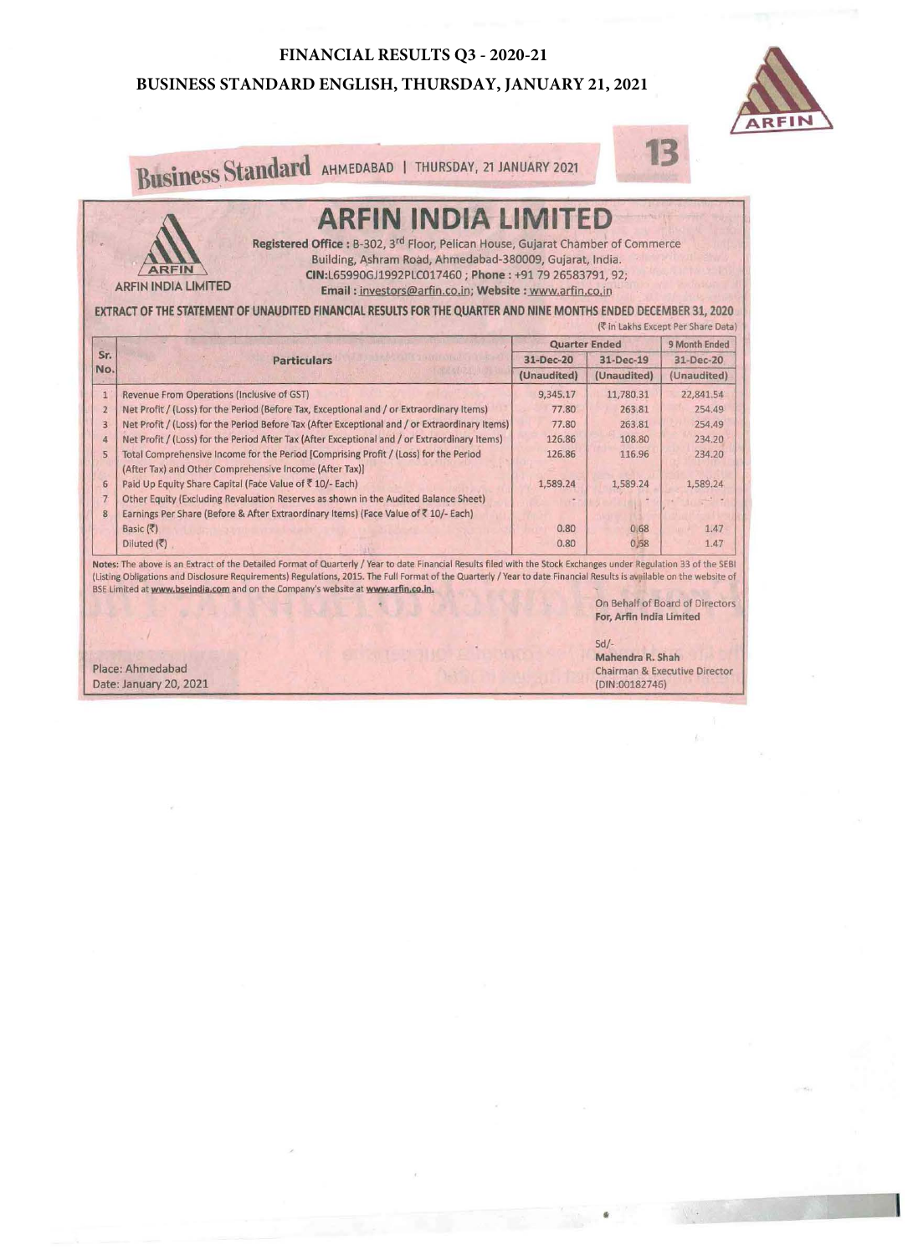#### **FINANCIAL RESULTS Q3 - 2020-21**

### **BUSINESS STANDARD ENGLISH, THURSDAY, JANUARY 21, 2021**



Business Standard AHMEDABAD | THURSDAY, 21 JANUARY 2021

# **ARFIN INDIA LIMITED**

Registered Office : B-302, 3<sup>rd</sup> Floor, Pelican House, Gujarat Chamber of Commerce Building, Ashram Road, Ahmedabad-380009, Gujarat, India. CIN:L65990GJ1992PLC017460; Phone : +91 79 26583791, 92;

ARFIN ARFIN INDIA LIMITED

## Email : investors@arfin.co.in; Website : www.arfin.co.in

EXTRACT OF THE STATEMENT OF UNAUDITED FINANCIAL RESULTS FOR THE QUARTER AND NINE MONTHS ENDED DECEMBER 31, 2020  $(m + 1)$  in the  $m + 1$ 

|                 |                                                                                                                                                 | <b>Quarter Ended</b>     |                          | 9 Month Ended            |
|-----------------|-------------------------------------------------------------------------------------------------------------------------------------------------|--------------------------|--------------------------|--------------------------|
| Sr.             | <b>Particulars</b>                                                                                                                              | 31-Dec-20<br>(Unaudited) | 31-Dec-19<br>(Unaudited) | 31-Dec-20<br>(Unaudited) |
| No.             |                                                                                                                                                 |                          |                          |                          |
| $\overline{1}$  | Revenue From Operations (Inclusive of GST)                                                                                                      | 9,345.17                 | 11,780.31                | 22,841.54                |
| $\overline{2}$  | Net Profit / (Loss) for the Period (Before Tax, Exceptional and / or Extraordinary Items)                                                       | 77.80                    | 263.81                   | 254.49                   |
| $\overline{3}$  | Net Profit / (Loss) for the Period Before Tax (After Exceptional and / or Extraordinary Items)                                                  | 77.80                    | 263.81                   | 254.49                   |
| $\overline{4}$  | Net Profit / (Loss) for the Period After Tax (After Exceptional and / or Extraordinary Items)                                                   | 126.86                   | 108.80                   | 234.20                   |
| 5               | Total Comprehensive Income for the Period [Comprising Profit / (Loss) for the Period<br>(After Tax) and Other Comprehensive Income (After Tax)] | 126.86                   | 116.96                   | 234.20                   |
| $6\phantom{.}6$ | Paid Up Equity Share Capital (Face Value of ₹10/- Each)                                                                                         | 1,589.24                 | 1,589.24                 | 1,589.24                 |
| $\overline{7}$  | Other Equity (Excluding Revaluation Reserves as shown in the Audited Balance Sheet)                                                             |                          |                          |                          |
| 8               | Earnings Per Share (Before & After Extraordinary Items) (Face Value of ₹ 10/- Each)                                                             |                          |                          |                          |
|                 | Basic (そ)                                                                                                                                       | 0.80                     | 0.68                     | 1.47                     |
|                 | Diluted $(5)$                                                                                                                                   | 0.80                     | 0,58                     | 1.47                     |

Notes: The above is an Extract of the Detailed Format of Quarterly / Year to date Financial Results filed with the Stock Exchanges under Regulation 33 of the SEBI (Listing Obligations and Disclosure Requirements) Regulations, 2015. The Full Format of the Quarterly / Year to date Financial Results is available on the website of BSE Limited at www.bseindia.com and on the Company's website at www.arfin.co.in.

On Behalf of Board of Directors For, Arfln India Limited

**13** 

Place: Ahmedabad Date: January 20, 2021 Sd/-

•

Mahendra R. Shah Chairman & Executive Director {DIN:00182746)